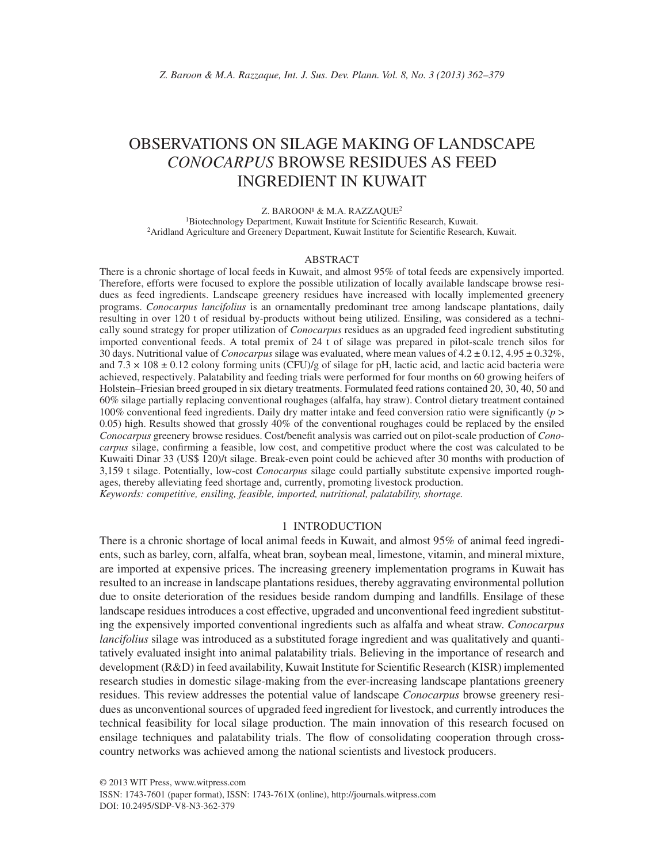# OBSERVATIONS ON SILAGE MAKING OF LANDSCAPE *CONOCARPUS* BROWSE RESIDUES AS FEED INGREDIENT IN KUWAIT

#### Z. BAROON<sup>1</sup> & M.A. RAZZAOUE<sup>2</sup>

<sup>1</sup>Biotechnology Department, Kuwait Institute for Scientific Research, Kuwait. <sup>2</sup> Aridland Agriculture and Greenery Department, Kuwait Institute for Scientific Research, Kuwait.

#### ABSTRACT

There is a chronic shortage of local feeds in Kuwait, and almost 95% of total feeds are expensively imported. Therefore, efforts were focused to explore the possible utilization of locally available landscape browse residues as feed ingredients. Landscape greenery residues have increased with locally implemented greenery programs. *Conocarpus lancifolius* is an ornamentally predominant tree among landscape plantations, daily resulting in over 120 t of residual by-products without being utilized. Ensiling, was considered as a technically sound strategy for proper utilization of *Conocarpus* residues as an upgraded feed ingredient substituting imported conventional feeds. A total premix of 24 t of silage was prepared in pilot-scale trench silos for 30 days. Nutritional value of *Conocarpus* silage was evaluated, where mean values of 4.2 ± 0.12, 4.95 ± 0.32%, and  $7.3 \times 108 \pm 0.12$  colony forming units (CFU)/g of silage for pH, lactic acid, and lactic acid bacteria were achieved, respectively. Palatability and feeding trials were performed for four months on 60 growing heifers of Holstein–Friesian breed grouped in six dietary treatments. Formulated feed rations contained 20, 30, 40, 50 and 60% silage partially replacing conventional roughages (alfalfa, hay straw). Control dietary treatment contained 100% conventional feed ingredients. Daily dry matter intake and feed conversion ratio were significantly (*p* > 0.05) high. Results showed that grossly 40% of the conventional roughages could be replaced by the ensiled *Conocarpus* greenery browse residues. Cost/benefi t analysis was carried out on pilot-scale production of *Conocarpus* silage, confirming a feasible, low cost, and competitive product where the cost was calculated to be Kuwaiti Dinar 33 (US\$ 120)/t silage. Break-even point could be achieved after 30 months with production of 3,159 t silage. Potentially, low-cost *Conocarpus* silage could partially substitute expensive imported roughages, thereby alleviating feed shortage and, currently, promoting livestock production. *Keywords: competitive, ensiling, feasible, imported, nutritional, palatability, shortage.*

#### 1 INTRODUCTION

There is a chronic shortage of local animal feeds in Kuwait, and almost 95% of animal feed ingredients, such as barley, corn, alfalfa, wheat bran, soybean meal, limestone, vitamin, and mineral mixture, are imported at expensive prices. The increasing greenery implementation programs in Kuwait has resulted to an increase in landscape plantations residues, thereby aggravating environmental pollution due to onsite deterioration of the residues beside random dumping and landfills. Ensilage of these landscape residues introduces a cost effective, upgraded and unconventional feed ingredient substituting the expensively imported conventional ingredients such as alfalfa and wheat straw. *Conocarpus lancifolius* silage was introduced as a substituted forage ingredient and was qualitatively and quantitatively evaluated insight into animal palatability trials. Believing in the importance of research and development (R&D) in feed availability, Kuwait Institute for Scientific Research (KISR) implemented research studies in domestic silage-making from the ever-increasing landscape plantations greenery residues. This review addresses the potential value of landscape *Conocarpus* browse greenery residues as unconventional sources of upgraded feed ingredient for livestock, and currently introduces the technical feasibility for local silage production. The main innovation of this research focused on ensilage techniques and palatability trials. The flow of consolidating cooperation through crosscountry networks was achieved among the national scientists and livestock producers.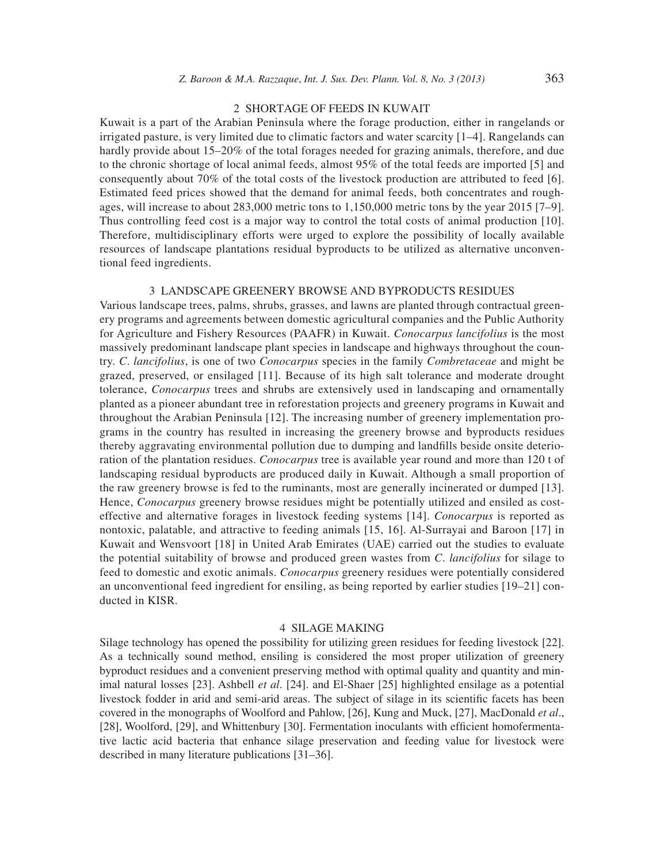## 2 SHORTAGE OF FEEDS IN KUWAIT

Kuwait is a part of the Arabian Peninsula where the forage production, either in rangelands or irrigated pasture, is very limited due to climatic factors and water scarcity [1–4]. Rangelands can hardly provide about 15–20% of the total forages needed for grazing animals, therefore, and due to the chronic shortage of local animal feeds, almost 95% of the total feeds are imported [5] and consequently about 70% of the total costs of the livestock production are attributed to feed [6]. Estimated feed prices showed that the demand for animal feeds, both concentrates and roughages, will increase to about 283,000 metric tons to 1,150,000 metric tons by the year 2015 [7–9]. Thus controlling feed cost is a major way to control the total costs of animal production [10]. Therefore, multidisciplinary efforts were urged to explore the possibility of locally available resources of landscape plantations residual byproducts to be utilized as alternative unconventional feed ingredients.

### 3 LANDSCAPE GREENERY BROWSE AND BYPRODUCTS RESIDUES

Various landscape trees, palms, shrubs, grasses, and lawns are planted through contractual greenery programs and agreements between domestic agricultural companies and the Public Authority for Agriculture and Fishery Resources (PAAFR) in Kuwait. *Conocarpus lancifolius* is the most massively predominant landscape plant species in landscape and highways throughout the country. *C*. *lancifolius*, is one of two *Conocarpus* species in the family *Combretaceae* and might be grazed, preserved, or ensilaged [11]. Because of its high salt tolerance and moderate drought tolerance, *Conocarpus* trees and shrubs are extensively used in landscaping and ornamentally planted as a pioneer abundant tree in reforestation projects and greenery programs in Kuwait and throughout the Arabian Peninsula [12]. The increasing number of greenery implementation programs in the country has resulted in increasing the greenery browse and byproducts residues thereby aggravating environmental pollution due to dumping and landfills beside onsite deterioration of the plantation residues. *Conocarpus* tree is available year round and more than 120 t of landscaping residual byproducts are produced daily in Kuwait. Although a small proportion of the raw greenery browse is fed to the ruminants, most are generally incinerated or dumped [13]. Hence, *Conocarpus* greenery browse residues might be potentially utilized and ensiled as costeffective and alternative forages in livestock feeding systems [14]. *Conocarpus* is reported as nontoxic, palatable, and attractive to feeding animals [15, 16]. Al-Surrayai and Baroon [17] in Kuwait and Wensvoort [18] in United Arab Emirates (UAE) carried out the studies to evaluate the potential suitability of browse and produced green wastes from *C*. *lancifolius* for silage to feed to domestic and exotic animals. *Conocarpus* greenery residues were potentially considered an unconventional feed ingredient for ensiling, as being reported by earlier studies [19–21] conducted in KISR.

#### 4 SILAGE MAKING

Silage technology has opened the possibility for utilizing green residues for feeding livestock [22]. As a technically sound method, ensiling is considered the most proper utilization of greenery byproduct residues and a convenient preserving method with optimal quality and quantity and minimal natural losses [23]. Ashbell *et al*. [24]. and El-Shaer [25] highlighted ensilage as a potential livestock fodder in arid and semi-arid areas. The subject of silage in its scientific facets has been covered in the monographs of Woolford and Pahlow, [26], Kung and Muck, [27], MacDonald *et al*., [28], Woolford, [29], and Whittenbury [30]. Fermentation inoculants with efficient homofermentative lactic acid bacteria that enhance silage preservation and feeding value for livestock were described in many literature publications [31–36].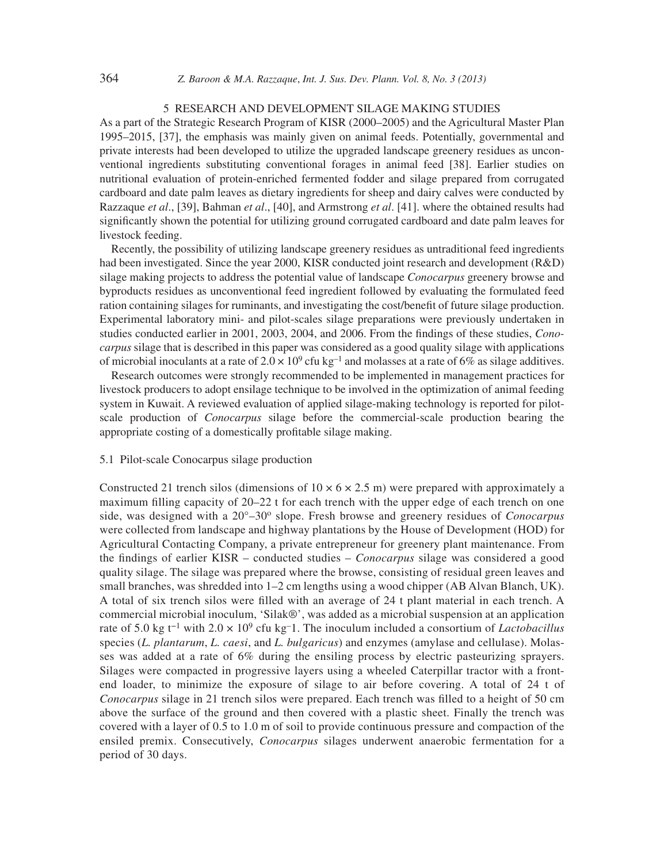# 5 RESEARCH AND DEVELOPMENT SILAGE MAKING STUDIES

As a part of the Strategic Research Program of KISR (2000–2005) and the Agricultural Master Plan 1995–2015, [37], the emphasis was mainly given on animal feeds. Potentially, governmental and private interests had been developed to utilize the upgraded landscape greenery residues as unconventional ingredients substituting conventional forages in animal feed [38]. Earlier studies on nutritional evaluation of protein-enriched fermented fodder and silage prepared from corrugated cardboard and date palm leaves as dietary ingredients for sheep and dairy calves were conducted by Razzaque *et al*., [39], Bahman *et al*., [40], and Armstrong *et al*. [41]. where the obtained results had significantly shown the potential for utilizing ground corrugated cardboard and date palm leaves for livestock feeding.

Recently, the possibility of utilizing landscape greenery residues as untraditional feed ingredients had been investigated. Since the year 2000, KISR conducted joint research and development (R&D) silage making projects to address the potential value of landscape *Conocarpus* greenery browse and byproducts residues as unconventional feed ingredient followed by evaluating the formulated feed ration containing silages for ruminants, and investigating the cost/benefit of future silage production. Experimental laboratory mini- and pilot-scales silage preparations were previously undertaken in studies conducted earlier in 2001, 2003, 2004, and 2006. From the findings of these studies, *Conocarpus* silage that is described in this paper was considered as a good quality silage with applications of microbial inoculants at a rate of  $2.0 \times 10^9$  cfu kg<sup>-1</sup> and molasses at a rate of 6% as silage additives.

Research outcomes were strongly recommended to be implemented in management practices for livestock producers to adopt ensilage technique to be involved in the optimization of animal feeding system in Kuwait. A reviewed evaluation of applied silage-making technology is reported for pilotscale production of *Conocarpus* silage before the commercial-scale production bearing the appropriate costing of a domestically profitable silage making.

#### 5.1 Pilot-scale Conocarpus silage production

Constructed 21 trench silos (dimensions of  $10 \times 6 \times 2.5$  m) were prepared with approximately a maximum filling capacity of  $20-22$  t for each trench with the upper edge of each trench on one side, was designed with a 20°–30o slope. Fresh browse and greenery residues of *Conocarpus* were collected from landscape and highway plantations by the House of Development (HOD) for Agricultural Contacting Company, a private entrepreneur for greenery plant maintenance. From the findings of earlier KISR – conducted studies – *Conocarpus* silage was considered a good quality silage. The silage was prepared where the browse, consisting of residual green leaves and small branches, was shredded into 1–2 cm lengths using a wood chipper (AB Alvan Blanch, UK). A total of six trench silos were filled with an average of 24 t plant material in each trench. A commercial microbial inoculum, 'Silak®', was added as a microbial suspension at an application rate of 5.0 kg t−1 with 2.0 × 109 cfu kg–1. The inoculum included a consortium of *Lactobacillus* species (*L. plantarum*, *L. caesi*, and *L. bulgaricus*) and enzymes (amylase and cellulase). Molasses was added at a rate of 6% during the ensiling process by electric pasteurizing sprayers. Silages were compacted in progressive layers using a wheeled Caterpillar tractor with a frontend loader, to minimize the exposure of silage to air before covering. A total of 24 t of *Conocarpus* silage in 21 trench silos were prepared. Each trench was filled to a height of 50 cm above the surface of the ground and then covered with a plastic sheet. Finally the trench was covered with a layer of 0.5 to 1.0 m of soil to provide continuous pressure and compaction of the ensiled premix. Consecutively, *Conocarpus* silages underwent anaerobic fermentation for a period of 30 days.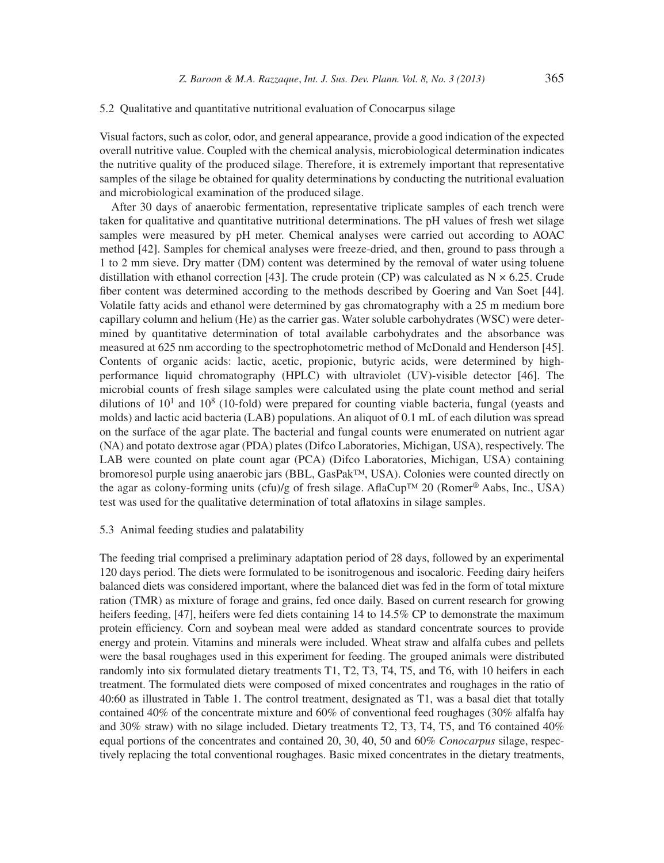#### 5.2 Qualitative and quantitative nutritional evaluation of Conocarpus silage

Visual factors, such as color, odor, and general appearance, provide a good indication of the expected overall nutritive value. Coupled with the chemical analysis, microbiological determination indicates the nutritive quality of the produced silage. Therefore, it is extremely important that representative samples of the silage be obtained for quality determinations by conducting the nutritional evaluation and microbiological examination of the produced silage.

After 30 days of anaerobic fermentation, representative triplicate samples of each trench were taken for qualitative and quantitative nutritional determinations. The pH values of fresh wet silage samples were measured by pH meter. Chemical analyses were carried out according to AOAC method [42]. Samples for chemical analyses were freeze-dried, and then, ground to pass through a 1 to 2 mm sieve. Dry matter (DM) content was determined by the removal of water using toluene distillation with ethanol correction [43]. The crude protein (CP) was calculated as  $N \times 6.25$ . Crude fiber content was determined according to the methods described by Goering and Van Soet [44]. Volatile fatty acids and ethanol were determined by gas chromatography with a 25 m medium bore capillary column and helium (He) as the carrier gas. Water soluble carbohydrates (WSC) were determined by quantitative determination of total available carbohydrates and the absorbance was measured at 625 nm according to the spectrophotometric method of McDonald and Henderson [45]. Contents of organic acids: lactic, acetic, propionic, butyric acids, were determined by highperformance liquid chromatography (HPLC) with ultraviolet (UV)-visible detector [46]. The microbial counts of fresh silage samples were calculated using the plate count method and serial dilutions of  $10<sup>1</sup>$  and  $10<sup>8</sup>$  (10-fold) were prepared for counting viable bacteria, fungal (yeasts and molds) and lactic acid bacteria (LAB) populations. An aliquot of 0.1 mL of each dilution was spread on the surface of the agar plate. The bacterial and fungal counts were enumerated on nutrient agar (NA) and potato dextrose agar (PDA) plates (Difco Laboratories, Michigan, USA), respectively. The LAB were counted on plate count agar (PCA) (Difco Laboratories, Michigan, USA) containing bromoresol purple using anaerobic jars (BBL, GasPak™, USA). Colonies were counted directly on the agar as colony-forming units (cfu)/g of fresh silage. AflaCup<sup>™</sup> 20 (Romer<sup>®</sup> Aabs, Inc., USA) test was used for the qualitative determination of total aflatoxins in silage samples.

## 5.3 Animal feeding studies and palatability

The feeding trial comprised a preliminary adaptation period of 28 days, followed by an experimental 120 days period. The diets were formulated to be isonitrogenous and isocaloric. Feeding dairy heifers balanced diets was considered important, where the balanced diet was fed in the form of total mixture ration (TMR) as mixture of forage and grains, fed once daily. Based on current research for growing heifers feeding, [47], heifers were fed diets containing 14 to 14.5% CP to demonstrate the maximum protein efficiency. Corn and soybean meal were added as standard concentrate sources to provide energy and protein. Vitamins and minerals were included. Wheat straw and alfalfa cubes and pellets were the basal roughages used in this experiment for feeding. The grouped animals were distributed randomly into six formulated dietary treatments T1, T2, T3, T4, T5, and T6, with 10 heifers in each treatment. The formulated diets were composed of mixed concentrates and roughages in the ratio of 40:60 as illustrated in Table 1. The control treatment, designated as T1, was a basal diet that totally contained 40% of the concentrate mixture and 60% of conventional feed roughages (30% alfalfa hay and 30% straw) with no silage included. Dietary treatments T2, T3, T4, T5, and T6 contained 40% equal portions of the concentrates and contained 20, 30, 40, 50 and 60% *Conocarpus* silage, respectively replacing the total conventional roughages. Basic mixed concentrates in the dietary treatments,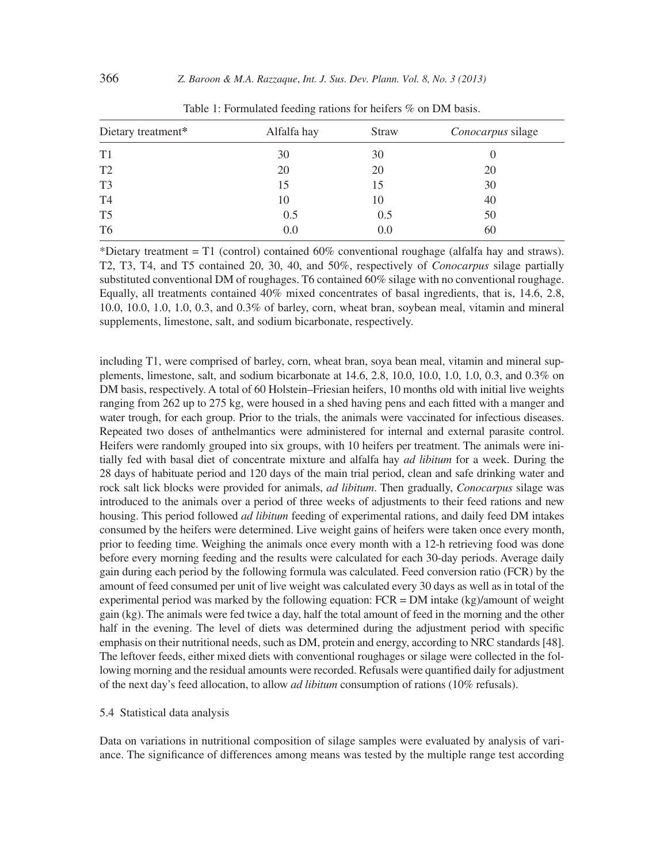| Dietary treatment* | Alfalfa hay | <b>Straw</b> | <i>Conocarpus</i> silage |
|--------------------|-------------|--------------|--------------------------|
| T1                 | 30          | 30           |                          |
| T <sub>2</sub>     | 20          | 20           | 20                       |
| T <sub>3</sub>     | 15          |              | 30                       |
| T4                 | 10          | 10           | 40                       |
| T <sub>5</sub>     | 0.5         | 0.5          | 50                       |
| T <sub>6</sub>     | 0.0         | 0.0          | 60                       |
|                    |             |              |                          |

Table 1: Formulated feeding rations for heifers % on DM basis.

\*Dietary treatment = T1 (control) contained 60% conventional roughage (alfalfa hay and straws). T2, T3, T4, and T5 contained 20, 30, 40, and 50%, respectively of *Conocarpus* silage partially substituted conventional DM of roughages. T6 contained 60% silage with no conventional roughage. Equally, all treatments contained 40% mixed concentrates of basal ingredients, that is, 14.6, 2.8, 10.0, 10.0, 1.0, 1.0, 0.3, and 0.3% of barley, corn, wheat bran, soybean meal, vitamin and mineral supplements, limestone, salt, and sodium bicarbonate, respectively.

including T1, were comprised of barley, corn, wheat bran, soya bean meal, vitamin and mineral supplements, limestone, salt, and sodium bicarbonate at 14.6, 2.8, 10.0, 10.0, 1.0, 1.0, 0.3, and 0.3% on DM basis, respectively. A total of 60 Holstein–Friesian heifers, 10 months old with initial live weights ranging from 262 up to 275 kg, were housed in a shed having pens and each fitted with a manger and water trough, for each group. Prior to the trials, the animals were vaccinated for infectious diseases. Repeated two doses of anthelmantics were administered for internal and external parasite control. Heifers were randomly grouped into six groups, with 10 heifers per treatment. The animals were initially fed with basal diet of concentrate mixture and alfalfa hay *ad libitum* for a week. During the 28 days of habituate period and 120 days of the main trial period, clean and safe drinking water and rock salt lick blocks were provided for animals, *ad libitum*. Then gradually, *Conocarpus* silage was introduced to the animals over a period of three weeks of adjustments to their feed rations and new housing. This period followed *ad libitum* feeding of experimental rations, and daily feed DM intakes consumed by the heifers were determined. Live weight gains of heifers were taken once every month, prior to feeding time. Weighing the animals once every month with a 12-h retrieving food was done before every morning feeding and the results were calculated for each 30-day periods. Average daily gain during each period by the following formula was calculated. Feed conversion ratio (FCR) by the amount of feed consumed per unit of live weight was calculated every 30 days as well as in total of the experimental period was marked by the following equation:  $FCR = DM$  intake (kg)/amount of weight gain (kg). The animals were fed twice a day, half the total amount of feed in the morning and the other half in the evening. The level of diets was determined during the adjustment period with specific emphasis on their nutritional needs, such as DM, protein and energy, according to NRC standards [48]. The leftover feeds, either mixed diets with conventional roughages or silage were collected in the following morning and the residual amounts were recorded. Refusals were quantified daily for adjustment of the next day's feed allocation, to allow *ad libitum* consumption of rations (10% refusals).

## 5.4 Statistical data analysis

Data on variations in nutritional composition of silage samples were evaluated by analysis of variance. The significance of differences among means was tested by the multiple range test according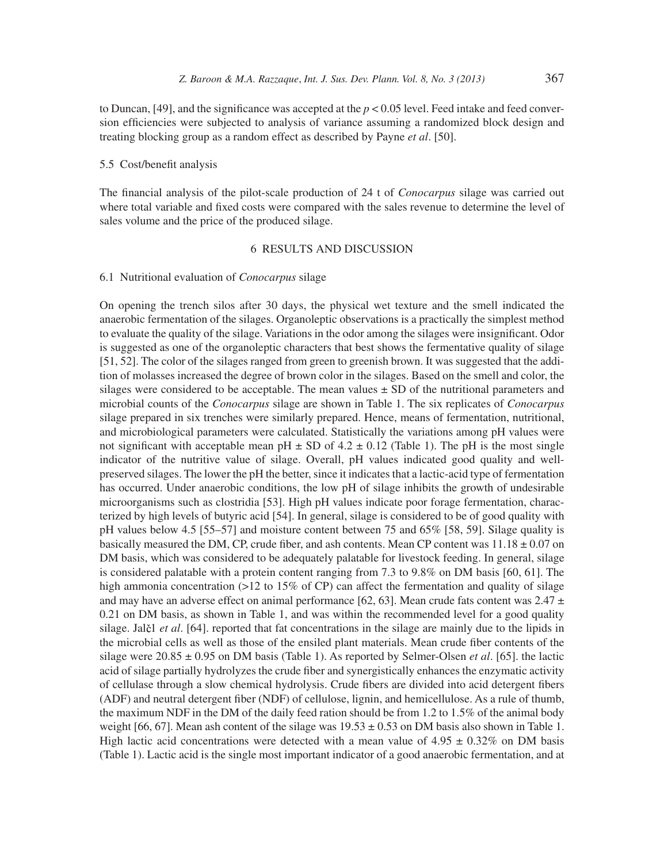to Duncan, [49], and the significance was accepted at the  $p < 0.05$  level. Feed intake and feed conversion efficiencies were subjected to analysis of variance assuming a randomized block design and treating blocking group as a random effect as described by Payne *et al*. [50].

# 5.5 Cost/benefit analysis

The financial analysis of the pilot-scale production of 24 t of *Conocarpus* silage was carried out where total variable and fixed costs were compared with the sales revenue to determine the level of sales volume and the price of the produced silage.

# 6 RESULTS AND DISCUSSION

#### 6.1 Nutritional evaluation of *Conocarpus* silage

On opening the trench silos after 30 days, the physical wet texture and the smell indicated the anaerobic fermentation of the silages. Organoleptic observations is a practically the simplest method to evaluate the quality of the silage. Variations in the odor among the silages were insignificant. Odor is suggested as one of the organoleptic characters that best shows the fermentative quality of silage [51, 52]. The color of the silages ranged from green to greenish brown. It was suggested that the addition of molasses increased the degree of brown color in the silages. Based on the smell and color, the silages were considered to be acceptable. The mean values  $\pm$  SD of the nutritional parameters and microbial counts of the *Conocarpus* silage are shown in Table 1. The six replicates of *Conocarpus* silage prepared in six trenches were similarly prepared. Hence, means of fermentation, nutritional, and microbiological parameters were calculated. Statistically the variations among pH values were not significant with acceptable mean  $pH \pm SD$  of 4.2  $\pm$  0.12 (Table 1). The pH is the most single indicator of the nutritive value of silage. Overall, pH values indicated good quality and wellpreserved silages. The lower the pH the better, since it indicates that a lactic-acid type of fermentation has occurred. Under anaerobic conditions, the low pH of silage inhibits the growth of undesirable microorganisms such as clostridia [53]. High pH values indicate poor forage fermentation, characterized by high levels of butyric acid [54]. In general, silage is considered to be of good quality with pH values below 4.5 [55–57] and moisture content between 75 and 65% [58, 59]. Silage quality is basically measured the DM, CP, crude fiber, and ash contents. Mean CP content was  $11.18 \pm 0.07$  on DM basis, which was considered to be adequately palatable for livestock feeding. In general, silage is considered palatable with a protein content ranging from 7.3 to 9.8% on DM basis [60, 61]. The high ammonia concentration  $(>12$  to 15% of CP) can affect the fermentation and quality of silage and may have an adverse effect on animal performance [62, 63]. Mean crude fats content was  $2.47 \pm$ 0.21 on DM basis, as shown in Table 1, and was within the recommended level for a good quality silage. Jal i *et al.* [64]. reported that fat concentrations in the silage are mainly due to the lipids in the microbial cells as well as those of the ensiled plant materials. Mean crude fiber contents of the silage were 20.85 ± 0.95 on DM basis (Table 1). As reported by Selmer-Olsen *et al*. [65]. the lactic acid of silage partially hydrolyzes the crude fiber and synergistically enhances the enzymatic activity of cellulase through a slow chemical hydrolysis. Crude fibers are divided into acid detergent fibers (ADF) and neutral detergent fiber (NDF) of cellulose, lignin, and hemicellulose. As a rule of thumb, the maximum NDF in the DM of the daily feed ration should be from 1.2 to 1.5% of the animal body weight [66, 67]. Mean ash content of the silage was  $19.53 \pm 0.53$  on DM basis also shown in Table 1. High lactic acid concentrations were detected with a mean value of  $4.95 \pm 0.32\%$  on DM basis (Table 1). Lactic acid is the single most important indicator of a good anaerobic fermentation, and at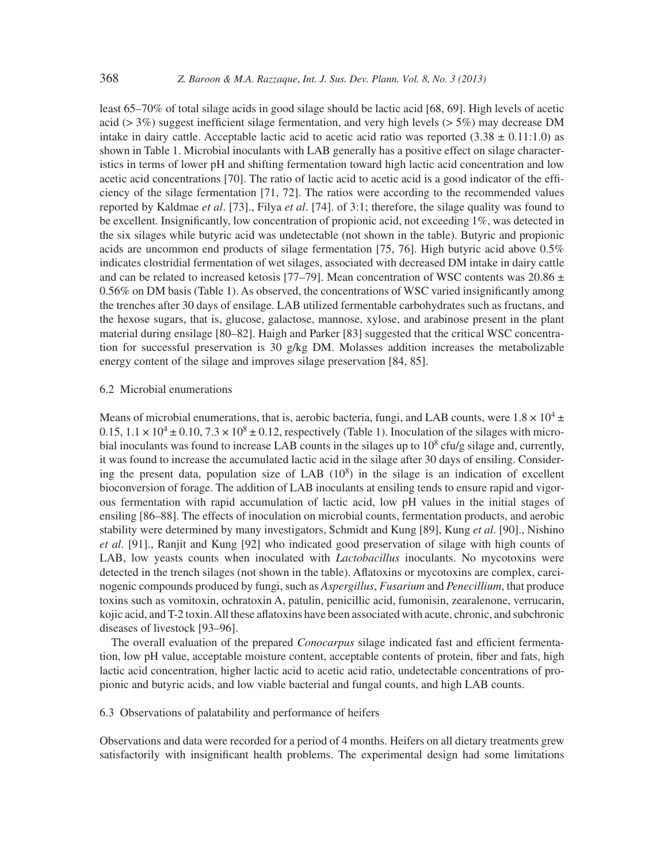least 65–70% of total silage acids in good silage should be lactic acid [68, 69]. High levels of acetic acid ( $> 3\%$ ) suggest inefficient silage fermentation, and very high levels ( $> 5\%$ ) may decrease DM intake in dairy cattle. Acceptable lactic acid to acetic acid ratio was reported  $(3.38 \pm 0.11:1.0)$  as shown in Table 1. Microbial inoculants with LAB generally has a positive effect on silage characteristics in terms of lower pH and shifting fermentation toward high lactic acid concentration and low acetic acid concentrations [70]. The ratio of lactic acid to acetic acid is a good indicator of the efficiency of the silage fermentation [71, 72]. The ratios were according to the recommended values reported by Kaldmae *et al*. [73]., Filya *et al*. [74]. of 3:1; therefore, the silage quality was found to be excellent. Insignificantly, low concentration of propionic acid, not exceeding  $1\%$ , was detected in the six silages while butyric acid was undetectable (not shown in the table). Butyric and propionic acids are uncommon end products of silage fermentation [75, 76]. High butyric acid above 0.5% indicates clostridial fermentation of wet silages, associated with decreased DM intake in dairy cattle and can be related to increased ketosis [77–79]. Mean concentration of WSC contents was 20.86  $\pm$ 0.56% on DM basis (Table 1). As observed, the concentrations of WSC varied insignificantly among the trenches after 30 days of ensilage. LAB utilized fermentable carbohydrates such as fructans, and the hexose sugars, that is, glucose, galactose, mannose, xylose, and arabinose present in the plant material during ensilage [80–82]. Haigh and Parker [83] suggested that the critical WSC concentration for successful preservation is 30 g/kg DM. Molasses addition increases the metabolizable energy content of the silage and improves silage preservation [84, 85].

#### 6.2 Microbial enumerations

Means of microbial enumerations, that is, aerobic bacteria, fungi, and LAB counts, were  $1.8 \times 10^4 \pm$  $0.15, 1.1 \times 10^4 \pm 0.10, 7.3 \times 10^8 \pm 0.12$ , respectively (Table 1). Inoculation of the silages with microbial inoculants was found to increase LAB counts in the silages up to  $10^8$  cfu/g silage and, currently, it was found to increase the accumulated lactic acid in the silage after 30 days of ensiling. Considering the present data, population size of LAB  $(10^8)$  in the silage is an indication of excellent bioconversion of forage. The addition of LAB inoculants at ensiling tends to ensure rapid and vigorous fermentation with rapid accumulation of lactic acid, low pH values in the initial stages of ensiling [86–88]. The effects of inoculation on microbial counts, fermentation products, and aerobic stability were determined by many investigators, Schmidt and Kung [89], Kung *et al*. [90]., Nishino *et al*. [91]., Ranjit and Kung [92] who indicated good preservation of silage with high counts of LAB, low yeasts counts when inoculated with *Lactobacillus* inoculants. No mycotoxins were detected in the trench silages (not shown in the table). Aflatoxins or mycotoxins are complex, carcinogenic compounds produced by fungi, such as *Aspergillus*, *Fusarium* and *Penecillium*, that produce toxins such as vomitoxin, ochratoxin A, patulin, penicillic acid, fumonisin, zearalenone, verrucarin, kojic acid, and T-2 toxin. All these aflatoxins have been associated with acute, chronic, and subchronic diseases of livestock [93–96].

The overall evaluation of the prepared *Conocarpus* silage indicated fast and efficient fermentation, low pH value, acceptable moisture content, acceptable contents of protein, fiber and fats, high lactic acid concentration, higher lactic acid to acetic acid ratio, undetectable concentrations of propionic and butyric acids, and low viable bacterial and fungal counts, and high LAB counts.

#### 6.3 Observations of palatability and performance of heifers

Observations and data were recorded for a period of 4 months. Heifers on all dietary treatments grew satisfactorily with insignificant health problems. The experimental design had some limitations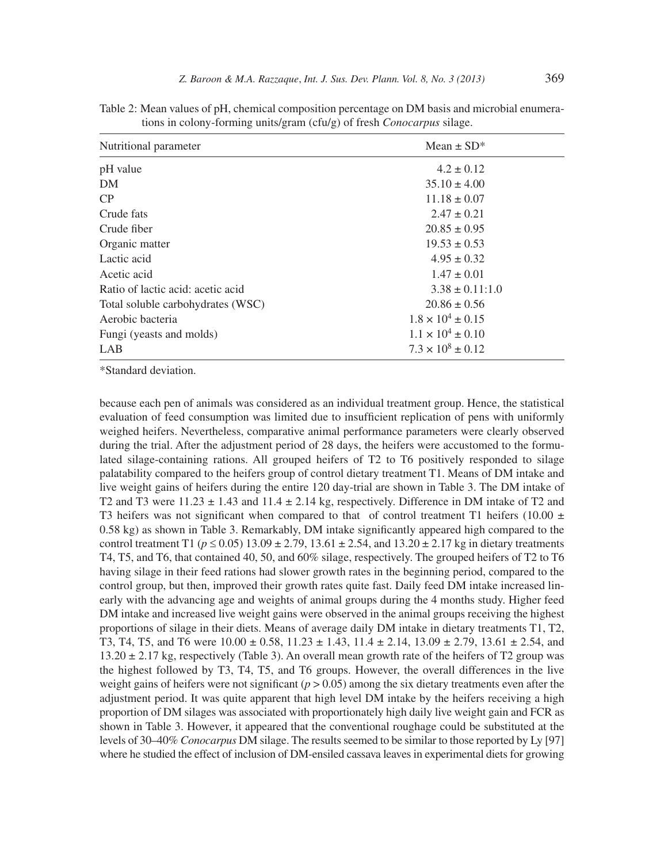| Nutritional parameter             | Mean $\pm$ SD*             |
|-----------------------------------|----------------------------|
| pH value                          | $4.2 \pm 0.12$             |
| DM                                | $35.10 \pm 4.00$           |
| CP                                | $11.18 \pm 0.07$           |
| Crude fats                        | $2.47 \pm 0.21$            |
| Crude fiber                       | $20.85 \pm 0.95$           |
| Organic matter                    | $19.53 \pm 0.53$           |
| Lactic acid                       | $4.95 \pm 0.32$            |
| Acetic acid                       | $1.47 \pm 0.01$            |
| Ratio of lactic acid: acetic acid | $3.38 \pm 0.11:1.0$        |
| Total soluble carbohydrates (WSC) | $20.86 \pm 0.56$           |
| Aerobic bacteria                  | $1.8 \times 10^4 \pm 0.15$ |
| Fungi (yeasts and molds)          | $1.1 \times 10^4 \pm 0.10$ |
| LAB                               | $7.3 \times 10^8 \pm 0.12$ |

Table 2: Mean values of pH, chemical composition percentage on DM basis and microbial enumerations in colony-forming units/gram (cfu/g) of fresh *Conocarpus* silage.

\*Standard deviation.

because each pen of animals was considered as an individual treatment group. Hence, the statistical evaluation of feed consumption was limited due to insufficient replication of pens with uniformly weighed heifers. Nevertheless, comparative animal performance parameters were clearly observed during the trial. After the adjustment period of 28 days, the heifers were accustomed to the formulated silage-containing rations. All grouped heifers of T2 to T6 positively responded to silage palatability compared to the heifers group of control dietary treatment T1. Means of DM intake and live weight gains of heifers during the entire 120 day-trial are shown in Table 3. The DM intake of T2 and T3 were  $11.23 \pm 1.43$  and  $11.4 \pm 2.14$  kg, respectively. Difference in DM intake of T2 and T3 heifers was not significant when compared to that of control treatment T1 heifers (10.00  $\pm$ 0.58 kg) as shown in Table 3. Remarkably, DM intake significantly appeared high compared to the control treatment T1 ( $p \le 0.05$ ) 13.09 ± 2.79, 13.61 ± 2.54, and 13.20 ± 2.17 kg in dietary treatments T4, T5, and T6, that contained 40, 50, and 60% silage, respectively. The grouped heifers of T2 to T6 having silage in their feed rations had slower growth rates in the beginning period, compared to the control group, but then, improved their growth rates quite fast. Daily feed DM intake increased linearly with the advancing age and weights of animal groups during the 4 months study. Higher feed DM intake and increased live weight gains were observed in the animal groups receiving the highest proportions of silage in their diets. Means of average daily DM intake in dietary treatments T1, T2, T3, T4, T5, and T6 were  $10.00 \pm 0.58$ ,  $11.23 \pm 1.43$ ,  $11.4 \pm 2.14$ ,  $13.09 \pm 2.79$ ,  $13.61 \pm 2.54$ , and  $13.20 \pm 2.17$  kg, respectively (Table 3). An overall mean growth rate of the heifers of T2 group was the highest followed by T3, T4, T5, and T6 groups. However, the overall differences in the live weight gains of heifers were not significant ( $p > 0.05$ ) among the six dietary treatments even after the adjustment period. It was quite apparent that high level DM intake by the heifers receiving a high proportion of DM silages was associated with proportionately high daily live weight gain and FCR as shown in Table 3. However, it appeared that the conventional roughage could be substituted at the levels of 30–40% *Conocarpus* DM silage. The results seemed to be similar to those reported by Ly [97] where he studied the effect of inclusion of DM-ensiled cassava leaves in experimental diets for growing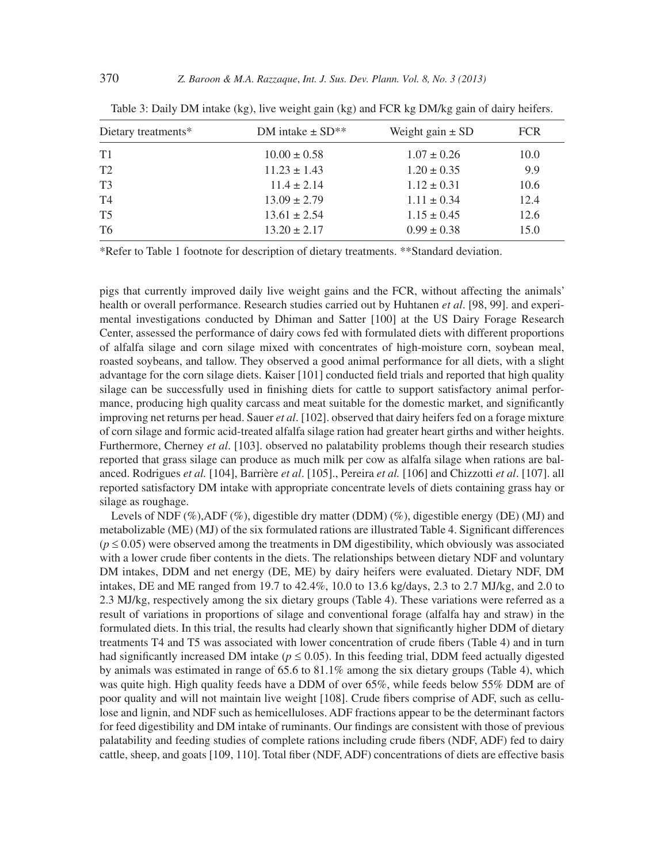| Dietary treatments* | DM intake $\pm$ SD** | Weight gain $\pm$ SD | <b>FCR</b> |
|---------------------|----------------------|----------------------|------------|
| T1                  | $10.00 \pm 0.58$     | $1.07 \pm 0.26$      | 10.0       |
| T <sub>2</sub>      | $11.23 \pm 1.43$     | $1.20 \pm 0.35$      | 9.9        |
| T <sub>3</sub>      | $11.4 \pm 2.14$      | $1.12 \pm 0.31$      | 10.6       |
| T4                  | $13.09 \pm 2.79$     | $1.11 \pm 0.34$      | 12.4       |
| T <sub>5</sub>      | $13.61 \pm 2.54$     | $1.15 \pm 0.45$      | 12.6       |
| T6                  | $13.20 \pm 2.17$     | $0.99 \pm 0.38$      | 15.0       |

| Table 3: Daily DM intake (kg), live weight gain (kg) and FCR kg DM/kg gain of dairy heifers. |  |  |  |
|----------------------------------------------------------------------------------------------|--|--|--|
|----------------------------------------------------------------------------------------------|--|--|--|

\*Refer to Table 1 footnote for description of dietary treatments. \*\*Standard deviation.

pigs that currently improved daily live weight gains and the FCR, without affecting the animals' health or overall performance. Research studies carried out by Huhtanen *et al*. [98, 99]. and experimental investigations conducted by Dhiman and Satter [100] at the US Dairy Forage Research Center, assessed the performance of dairy cows fed with formulated diets with different proportions of alfalfa silage and corn silage mixed with concentrates of high-moisture corn, soybean meal, roasted soybeans, and tallow. They observed a good animal performance for all diets, with a slight advantage for the corn silage diets. Kaiser [101] conducted field trials and reported that high quality silage can be successfully used in finishing diets for cattle to support satisfactory animal performance, producing high quality carcass and meat suitable for the domestic market, and significantly improving net returns per head. Sauer *et al*. [102]. observed that dairy heifers fed on a forage mixture of corn silage and formic acid-treated alfalfa silage ration had greater heart girths and wither heights. Furthermore, Cherney *et al*. [103]. observed no palatability problems though their research studies reported that grass silage can produce as much milk per cow as alfalfa silage when rations are balanced. Rodrigues *et al.* [104], Barrière *et al*. [105]., Pereira *et al.* [106] and Chizzotti *et al*. [107]. all reported satisfactory DM intake with appropriate concentrate levels of diets containing grass hay or silage as roughage.

Levels of NDF  $(\%)$ , ADF  $(\%)$ , digestible dry matter (DDM)  $(\%)$ , digestible energy (DE) (MJ) and metabolizable (ME) (MJ) of the six formulated rations are illustrated Table 4. Significant differences  $(p \le 0.05)$  were observed among the treatments in DM digestibility, which obviously was associated with a lower crude fiber contents in the diets. The relationships between dietary NDF and voluntary DM intakes, DDM and net energy (DE, ME) by dairy heifers were evaluated. Dietary NDF, DM intakes, DE and ME ranged from 19.7 to 42.4%, 10.0 to 13.6 kg/days, 2.3 to 2.7 MJ/kg, and 2.0 to 2.3 MJ/kg, respectively among the six dietary groups (Table 4). These variations were referred as a result of variations in proportions of silage and conventional forage (alfalfa hay and straw) in the formulated diets. In this trial, the results had clearly shown that significantly higher DDM of dietary treatments T4 and T5 was associated with lower concentration of crude fibers (Table 4) and in turn had significantly increased DM intake ( $p \le 0.05$ ). In this feeding trial, DDM feed actually digested by animals was estimated in range of 65.6 to 81.1% among the six dietary groups (Table 4), which was quite high. High quality feeds have a DDM of over 65%, while feeds below 55% DDM are of poor quality and will not maintain live weight [108]. Crude fibers comprise of ADF, such as cellulose and lignin, and NDF such as hemicelluloses. ADF fractions appear to be the determinant factors for feed digestibility and DM intake of ruminants. Our findings are consistent with those of previous palatability and feeding studies of complete rations including crude fibers (NDF, ADF) fed to dairy cattle, sheep, and goats [109, 110]. Total fiber (NDF, ADF) concentrations of diets are effective basis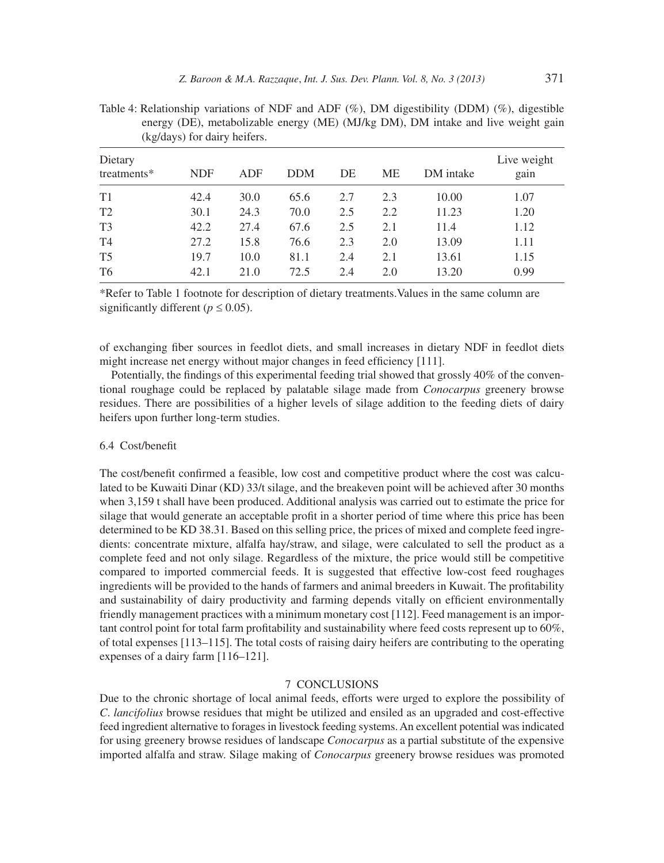| Dietary<br>treatments* | <b>NDF</b> | ADF  | <b>DDM</b> | DE  | ME  | DM intake | Live weight<br>gain |
|------------------------|------------|------|------------|-----|-----|-----------|---------------------|
| T1                     | 42.4       | 30.0 | 65.6       | 2.7 | 2.3 | 10.00     | 1.07                |
| T <sub>2</sub>         | 30.1       | 24.3 | 70.0       | 2.5 | 2.2 | 11.23     | 1.20                |
| T <sub>3</sub>         | 42.2       | 27.4 | 67.6       | 2.5 | 2.1 | 11.4      | 1.12                |
| T4                     | 27.2       | 15.8 | 76.6       | 2.3 | 2.0 | 13.09     | 1.11                |
| T <sub>5</sub>         | 19.7       | 10.0 | 81.1       | 2.4 | 2.1 | 13.61     | 1.15                |
| T <sub>6</sub>         | 42.1       | 21.0 | 72.5       | 2.4 | 2.0 | 13.20     | 0.99                |
|                        |            |      |            |     |     |           |                     |

Table 4: Relationship variations of NDF and ADF (%), DM digestibility (DDM) (%), digestible energy (DE), metabolizable energy (ME) (MJ/kg DM), DM intake and live weight gain (kg/days) for dairy heifers.

\*Refer to Table 1 footnote for description of dietary treatments.Values in the same column are significantly different ( $p \le 0.05$ ).

of exchanging fiber sources in feedlot diets, and small increases in dietary NDF in feedlot diets might increase net energy without major changes in feed efficiency [111].

Potentially, the findings of this experimental feeding trial showed that grossly 40% of the conventional roughage could be replaced by palatable silage made from *Conocarpus* greenery browse residues. There are possibilities of a higher levels of silage addition to the feeding diets of dairy heifers upon further long-term studies.

#### $6.4$  Cost/benefit

The cost/benefit confirmed a feasible, low cost and competitive product where the cost was calculated to be Kuwaiti Dinar (KD) 33/t silage, and the breakeven point will be achieved after 30 months when 3,159 t shall have been produced. Additional analysis was carried out to estimate the price for silage that would generate an acceptable profit in a shorter period of time where this price has been determined to be KD 38.31. Based on this selling price, the prices of mixed and complete feed ingredients: concentrate mixture, alfalfa hay/straw, and silage, were calculated to sell the product as a complete feed and not only silage. Regardless of the mixture, the price would still be competitive compared to imported commercial feeds. It is suggested that effective low-cost feed roughages ingredients will be provided to the hands of farmers and animal breeders in Kuwait. The profi tability and sustainability of dairy productivity and farming depends vitally on efficient environmentally friendly management practices with a minimum monetary cost [112]. Feed management is an important control point for total farm profitability and sustainability where feed costs represent up to  $60\%$ , of total expenses [113–115]. The total costs of raising dairy heifers are contributing to the operating expenses of a dairy farm [116–121].

### 7 CONCLUSIONS

Due to the chronic shortage of local animal feeds, efforts were urged to explore the possibility of *C*. *lancifolius* browse residues that might be utilized and ensiled as an upgraded and cost-effective feed ingredient alternative to forages in livestock feeding systems. An excellent potential was indicated for using greenery browse residues of landscape *Conocarpus* as a partial substitute of the expensive imported alfalfa and straw. Silage making of *Conocarpus* greenery browse residues was promoted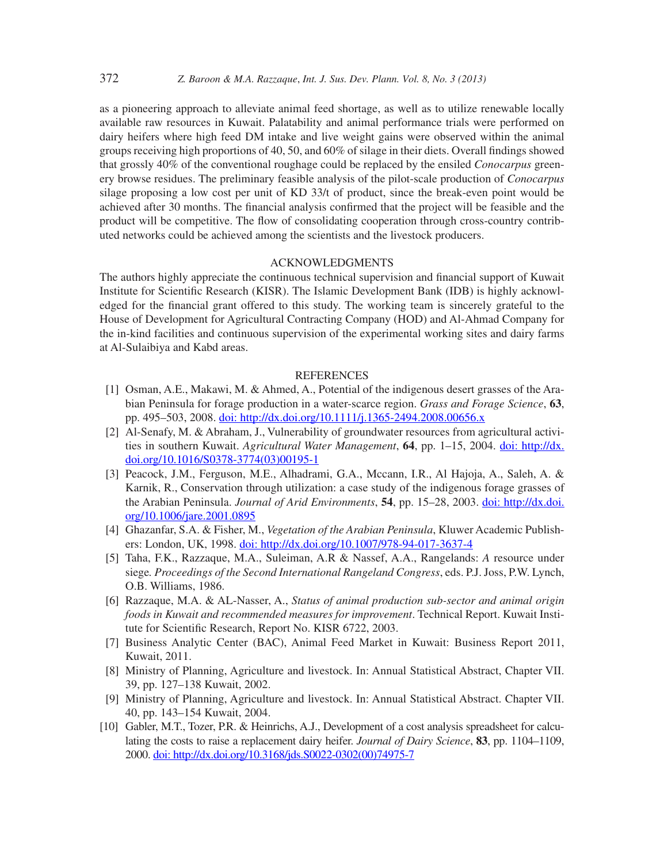as a pioneering approach to alleviate animal feed shortage, as well as to utilize renewable locally available raw resources in Kuwait. Palatability and animal performance trials were performed on dairy heifers where high feed DM intake and live weight gains were observed within the animal groups receiving high proportions of 40, 50, and 60% of silage in their diets. Overall findings showed that grossly 40% of the conventional roughage could be replaced by the ensiled *Conocarpus* greenery browse residues. The preliminary feasible analysis of the pilot-scale production of *Conocarpus* silage proposing a low cost per unit of KD 33/t of product, since the break-even point would be achieved after 30 months. The financial analysis confirmed that the project will be feasible and the product will be competitive. The flow of consolidating cooperation through cross-country contributed networks could be achieved among the scientists and the livestock producers.

## ACKNOWLEDGMENTS

The authors highly appreciate the continuous technical supervision and financial support of Kuwait Institute for Scientific Research (KISR). The Islamic Development Bank (IDB) is highly acknowledged for the financial grant offered to this study. The working team is sincerely grateful to the House of Development for Agricultural Contracting Company (HOD) and Al-Ahmad Company for the in-kind facilities and continuous supervision of the experimental working sites and dairy farms at Al-Sulaibiya and Kabd areas.

#### REFERENCES

- [1] Osman, A.E., Makawi, M. & Ahmed, A., Potential of the indigenous desert grasses of the Arabian Peninsula for forage production in a water-scarce region. *Grass and Forage Science*, **63**, pp. 495–503, 2008. doi: http://dx.doi.org/10.1111/j.1365-2494.2008.00656.x
- [2] Al-Senafy, M. & Abraham, J., Vulnerability of groundwater resources from agricultural activities in southern Kuwait. *Agricultural Water Management*, **64**, pp. 1–15, 2004. doi: http://dx. doi.org/10.1016/S0378-3774(03)00195-1
- [3] Peacock, J.M., Ferguson, M.E., Alhadrami, G.A., Mccann, I.R., Al Hajoja, A., Saleh, A. & Karnik, R., Conservation through utilization: a case study of the indigenous forage grasses of the Arabian Peninsula. *Journal of Arid Environments*, **54**, pp. 15–28, 2003. doi: http://dx.doi. org/10.1006/jare.2001.0895
- [4] Ghazanfar, S.A. & Fisher, M., *Vegetation of the Arabian Peninsula*, Kluwer Academic Publishers: London, UK, 1998. doi: http://dx.doi.org/10.1007/978-94-017-3637-4
- [5] Taha, F.K., Razzaque, M.A., Suleiman, A.R & Nassef, A.A., Rangelands: *A* resource under siege*. Proceedings of the Second International Rangeland Congress*, eds. P.J. Joss, P.W. Lynch, O.B. Williams, 1986.
- [6] Razzaque, M.A. & AL-Nasser, A., *Status of animal production sub-sector and animal origin foods in Kuwait and recommended measures for improvement*. Technical Report. Kuwait Institute for Scientific Research, Report No. KISR 6722, 2003.
- [7] Business Analytic Center (BAC), Animal Feed Market in Kuwait: Business Report 2011, Kuwait, 2011.
- [8] Ministry of Planning, Agriculture and livestock. In: Annual Statistical Abstract, Chapter VII. 39, pp. 127–138 Kuwait, 2002.
- [9] Ministry of Planning, Agriculture and livestock. In: Annual Statistical Abstract. Chapter VII. 40, pp. 143–154 Kuwait, 2004.
- [10] Gabler, M.T., Tozer, P.R. & Heinrichs, A.J., Development of a cost analysis spreadsheet for calculating the costs to raise a replacement dairy heifer. *Journal of Dairy Science*, **83**, pp. 1104–1109, 2000. doi: http://dx.doi.org/10.3168/jds.S0022-0302(00)74975-7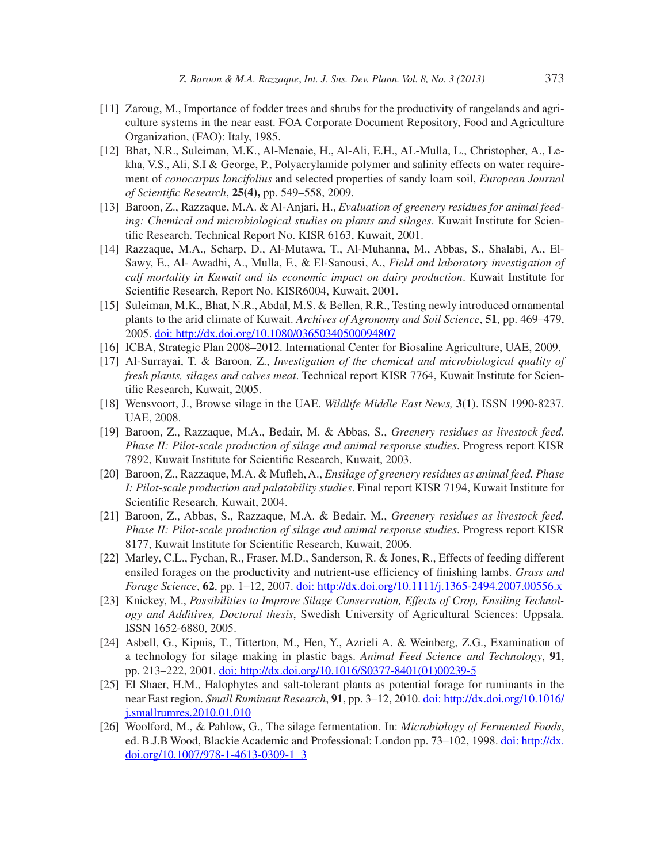- [11] Zaroug, M., Importance of fodder trees and shrubs for the productivity of rangelands and agriculture systems in the near east. FOA Corporate Document Repository, Food and Agriculture Organization, (FAO): Italy, 1985.
- [12] Bhat, N.R., Suleiman, M.K., Al-Menaie, H., Al-Ali, E.H., AL-Mulla, L., Christopher, A., Lekha, V.S., Ali, S.I & George, P., Polyacrylamide polymer and salinity effects on water requirement of *conocarpus lancifolius* and selected properties of sandy loam soil, *European Journal of Scientific Research*, **25(4)**, pp. 549–558, 2009.
- [13] Baroon, Z., Razzaque, M.A. & Al-Anjari, H., *Evaluation of greenery residues for animal feeding: Chemical and microbiological studies on plants and silages*. Kuwait Institute for Scientific Research. Technical Report No. KISR 6163, Kuwait, 2001.
- [14] Razzaque, M.A., Scharp, D., Al-Mutawa, T., Al-Muhanna, M., Abbas, S., Shalabi, A., El-Sawy, E., Al- Awadhi, A., Mulla, F., & El-Sanousi, A., *Field and laboratory investigation of calf mortality in Kuwait and its economic impact on dairy production*. Kuwait Institute for Scientific Research, Report No. KISR6004, Kuwait, 2001.
- [15] Suleiman, M.K., Bhat, N.R., Abdal, M.S. & Bellen, R.R., Testing newly introduced ornamental plants to the arid climate of Kuwait. *Archives of Agronomy and Soil Science*, **51**, pp. 469–479, 2005. doi: http://dx.doi.org/10.1080/03650340500094807
- [16] ICBA, Strategic Plan 2008–2012. International Center for Biosaline Agriculture, UAE, 2009.
- [17] Al-Surrayai, T. & Baroon, Z., *Investigation of the chemical and microbiological quality of fresh plants, silages and calves meat*. Technical report KISR 7764, Kuwait Institute for Scientific Research, Kuwait, 2005.
- [18] Wensvoort, J., Browse silage in the UAE. *Wildlife Middle East News,* **3(1)**. ISSN 1990-8237. UAE, 2008.
- [19] Baroon, Z., Razzaque, M.A., Bedair, M. & Abbas, S., *Greenery residues as livestock feed. Phase II: Pilot-scale production of silage and animal response studies*. Progress report KISR 7892, Kuwait Institute for Scientific Research, Kuwait, 2003.
- [20] Baroon, Z., Razzaque, M.A. & Mufleh, A., *Ensilage of greenery residues as animal feed. Phase I: Pilot-scale production and palatability studies*. Final report KISR 7194, Kuwait Institute for Scientific Research, Kuwait, 2004.
- [21] Baroon, Z., Abbas, S., Razzaque, M.A. & Bedair, M., *Greenery residues as livestock feed. Phase II: Pilot-scale production of silage and animal response studies*. Progress report KISR 8177, Kuwait Institute for Scientific Research, Kuwait, 2006.
- [22] Marley, C.L., Fychan, R., Fraser, M.D., Sanderson, R. & Jones, R., Effects of feeding different ensiled forages on the productivity and nutrient-use efficiency of finishing lambs. *Grass and Forage Science*, **62**, pp. 1–12, 2007. doi: http://dx.doi.org/10.1111/j.1365-2494.2007.00556.x
- [23] Knickey, M., *Possibilities to Improve Silage Conservation, Effects of Crop, Ensiling Technology and Additives, Doctoral thesis*, Swedish University of Agricultural Sciences: Uppsala. ISSN 1652-6880, 2005.
- [24] Asbell, G., Kipnis, T., Titterton, M., Hen, Y., Azrieli A. & Weinberg, Z.G., Examination of a technology for silage making in plastic bags. *Animal Feed Science and Technology*, **91**, pp. 213–222, 2001. doi: http://dx.doi.org/10.1016/S0377-8401(01)00239-5
- [25] El Shaer, H.M., Halophytes and salt-tolerant plants as potential forage for ruminants in the near East region. *Small Ruminant Research*, **91**, pp. 3–12, 2010. doi: http://dx.doi.org/10.1016/ j.smallrumres.2010.01.010
- [26] Woolford, M., & Pahlow, G., The silage fermentation. In: *Microbiology of Fermented Foods*, ed. B.J.B Wood, Blackie Academic and Professional: London pp. 73–102, 1998. doi: http://dx. doi.org/10.1007/978-1-4613-0309-1\_3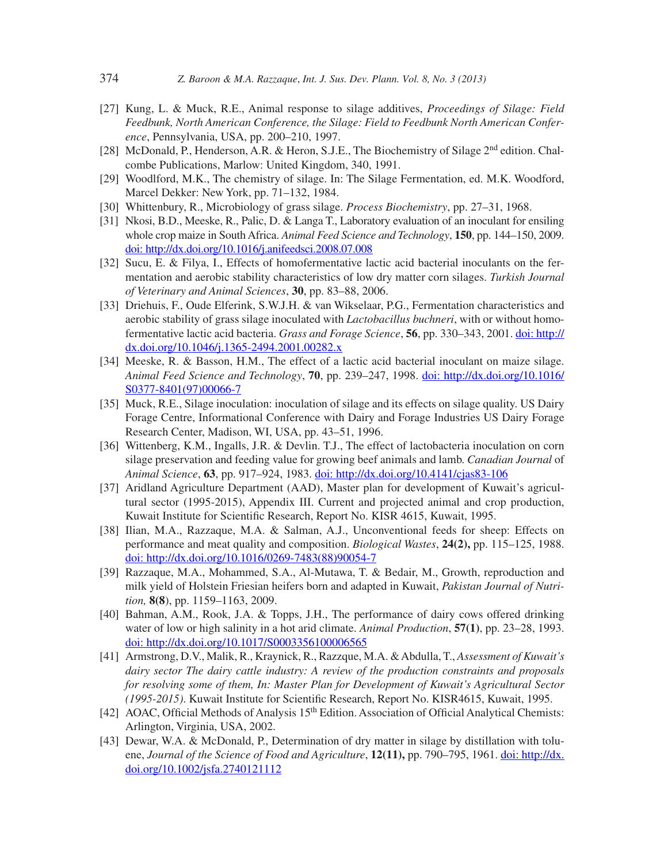- [27] Kung, L. & Muck, R.E., Animal response to silage additives, *Proceedings of Silage: Field Feedbunk, North American Conference, the Silage: Field to Feedbunk North American Conference*, Pennsylvania, USA, pp. 200–210, 1997.
- [28] McDonald, P., Henderson, A.R. & Heron, S.J.E., The Biochemistry of Silage  $2<sup>nd</sup>$  edition. Chalcombe Publications, Marlow: United Kingdom, 340, 1991.
- [29] Woodlford, M.K., The chemistry of silage. In: The Silage Fermentation, ed. M.K. Woodford, Marcel Dekker: New York, pp. 71–132, 1984.
- [30] Whittenbury, R., Microbiology of grass silage. *Process Biochemistry*, pp. 27–31, 1968.
- [31] Nkosi, B.D., Meeske, R., Palic, D. & Langa T., Laboratory evaluation of an inoculant for ensiling whole crop maize in South Africa. *Animal Feed Science and Technology*, **150**, pp. 144–150, 2009. doi: http://dx.doi.org/10.1016/j.anifeedsci.2008.07.008
- [32] Sucu, E. & Filya, I., Effects of homofermentative lactic acid bacterial inoculants on the fermentation and aerobic stability characteristics of low dry matter corn silages. *Turkish Journal of Veterinary and Animal Sciences*, **30**, pp. 83–88, 2006.
- [33] Driehuis, F., Oude Elferink, S.W.J.H. & van Wikselaar, P.G., Fermentation characteristics and aerobic stability of grass silage inoculated with *Lactobacillus buchneri*, with or without homofermentative lactic acid bacteria. *Grass and Forage Science*, **56**, pp. 330–343, 2001. doi: http:// dx.doi.org/10.1046/j.1365-2494.2001.00282.x
- [34] Meeske, R. & Basson, H.M., The effect of a lactic acid bacterial inoculant on maize silage. *Animal Feed Science and Technology*, **70**, pp. 239–247, 1998. doi: http://dx.doi.org/10.1016/ S0377-8401(97)00066-7
- [35] Muck, R.E., Silage inoculation: inoculation of silage and its effects on silage quality. US Dairy Forage Centre, Informational Conference with Dairy and Forage Industries US Dairy Forage Research Center, Madison, WI, USA, pp. 43–51, 1996.
- [36] Wittenberg, K.M., Ingalls, J.R. & Devlin. T.J., The effect of lactobacteria inoculation on corn silage preservation and feeding value for growing beef animals and lamb. *Canadian Journal* of *Animal Science*, **63**, pp. 917–924, 1983. doi: http://dx.doi.org/10.4141/cjas83-106
- [37] Aridland Agriculture Department (AAD), Master plan for development of Kuwait's agricultural sector (1995-2015), Appendix III. Current and projected animal and crop production, Kuwait Institute for Scientific Research, Report No. KISR 4615, Kuwait, 1995.
- [38] Ilian, M.A., Razzaque, M.A. & Salman, A.J., Unconventional feeds for sheep: Effects on performance and meat quality and composition. *Biological Wastes*, **24(2),** pp. 115–125, 1988. doi: http://dx.doi.org/10.1016/0269-7483(88)90054-7
- [39] Razzaque, M.A., Mohammed, S.A., Al-Mutawa, T. & Bedair, M., Growth, reproduction and milk yield of Holstein Friesian heifers born and adapted in Kuwait, *Pakistan Journal of Nutrition,* **8(8**), pp. 1159–1163, 2009.
- [40] Bahman, A.M., Rook, J.A. & Topps, J.H., The performance of dairy cows offered drinking water of low or high salinity in a hot arid climate. *Animal Production*, **57(1)**, pp. 23–28, 1993. doi: http://dx.doi.org/10.1017/S0003356100006565
- [41] Armstrong, D.V., Malik, R., Kraynick, R., Razzque, M.A. & Abdulla, T., *Assessment of Kuwait's dairy sector The dairy cattle industry: A review of the production constraints and proposals for resolving some of them, In: Master Plan for Development of Kuwait's Agricultural Sector (1995-2015)*. Kuwait Institute for Scientific Research, Report No. KISR4615, Kuwait, 1995.
- [42] AOAC, Official Methods of Analysis 15<sup>th</sup> Edition. Association of Official Analytical Chemists: Arlington, Virginia, USA, 2002.
- [43] Dewar, W.A. & McDonald, P., Determination of dry matter in silage by distillation with toluene, *Journal of the Science of Food and Agriculture*, **12(11),** pp. 790–795, 1961. doi: http://dx. doi.org/10.1002/jsfa.2740121112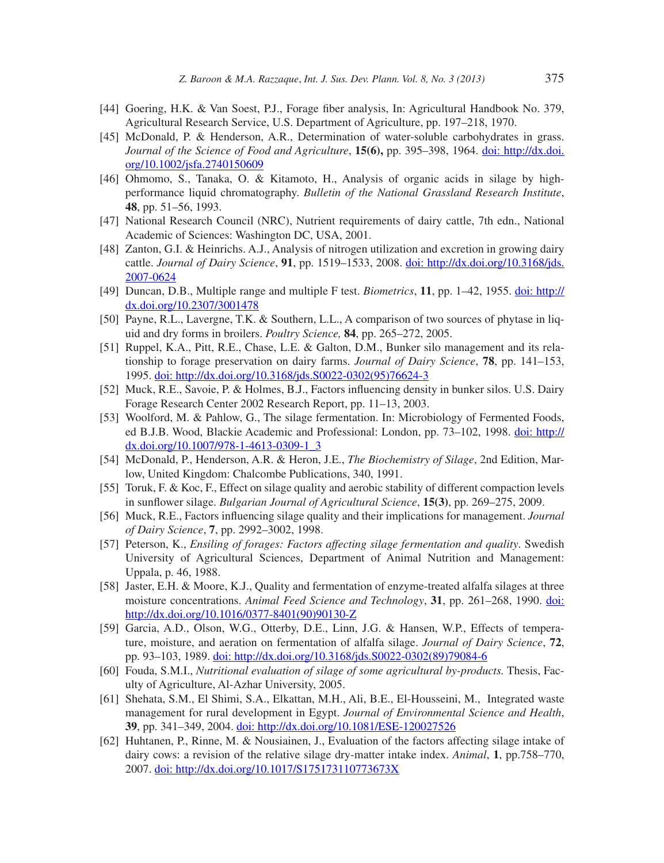- [44] Goering, H.K. & Van Soest, P.J., Forage fiber analysis, In: Agricultural Handbook No. 379, Agricultural Research Service, U.S. Department of Agriculture, pp. 197–218, 1970.
- [45] McDonald, P. & Henderson, A.R., Determination of water-soluble carbohydrates in grass. *Journal of the Science of Food and Agriculture*, **15(6),** pp. 395–398, 1964. doi: http://dx.doi. org/10.1002/jsfa.2740150609
- [46] Ohmomo, S., Tanaka, O. & Kitamoto, H., Analysis of organic acids in silage by highperformance liquid chromatography. *Bulletin of the National Grassland Research Institute*, **48**, pp. 51–56, 1993.
- [47] National Research Council (NRC), Nutrient requirements of dairy cattle, 7th edn., National Academic of Sciences: Washington DC, USA, 2001.
- [48] Zanton, G.I. & Heinrichs. A.J., Analysis of nitrogen utilization and excretion in growing dairy cattle. *Journal of Dairy Science*, **91**, pp. 1519–1533, 2008. doi: http://dx.doi.org/10.3168/jds. 2007-0624
- [49] Duncan, D.B., Multiple range and multiple F test. *Biometrics*, **11**, pp. 1–42, 1955. doi: http:// dx.doi.org/10.2307/3001478
- [50] Payne, R.L., Lavergne, T.K. & Southern, L.L., A comparison of two sources of phytase in liquid and dry forms in broilers. *Poultry Science,* **84**, pp. 265–272, 2005.
- [51] Ruppel, K.A., Pitt, R.E., Chase, L.E. & Galton, D.M., Bunker silo management and its relationship to forage preservation on dairy farms. *Journal of Dairy Science*, **78**, pp. 141–153, 1995. doi: http://dx.doi.org/10.3168/jds.S0022-0302(95)76624-3
- [52] Muck, R.E., Savoie, P. & Holmes, B.J., Factors influencing density in bunker silos. U.S. Dairy Forage Research Center 2002 Research Report, pp. 11–13, 2003.
- [53] Woolford, M. & Pahlow, G., The silage fermentation. In: Microbiology of Fermented Foods, ed B.J.B. Wood, Blackie Academic and Professional: London, pp. 73–102, 1998. doi: http:// dx.doi.org/10.1007/978-1-4613-0309-1\_3
- [54] McDonald, P., Henderson, A.R. & Heron, J.E., *The Biochemistry of Silage*, 2nd Edition, Marlow, United Kingdom: Chalcombe Publications, 340, 1991.
- [55] Toruk, F. & Koc, F., Effect on silage quality and aerobic stability of different compaction levels in sunflower silage. *Bulgarian Journal of Agricultural Science*, **15(3)**, pp. 269–275, 2009.
- [56] Muck, R.E., Factors influencing silage quality and their implications for management. *Journal of Dairy Science*, **7**, pp. 2992–3002, 1998.
- [57] Peterson, K., *Ensiling of forages: Factors affecting silage fermentation and quality*. Swedish University of Agricultural Sciences, Department of Animal Nutrition and Management: Uppala, p. 46, 1988.
- [58] Jaster, E.H. & Moore, K.J., Quality and fermentation of enzyme-treated alfalfa silages at three moisture concentrations. *Animal Feed Science and Technology*, **31**, pp. 261–268, 1990. doi: http://dx.doi.org/10.1016/0377-8401(90)90130-Z
- [59] Garcia, A.D., Olson, W.G., Otterby, D.E., Linn, J.G. & Hansen, W.P., Effects of temperature, moisture, and aeration on fermentation of alfalfa silage. *Journal of Dairy Science*, **72**, pp. 93–103, 1989. doi: http://dx.doi.org/10.3168/jds.S0022-0302(89)79084-6
- [60] Fouda, S.M.I., *Nutritional evaluation of silage of some agricultural by-products.* Thesis, Faculty of Agriculture, Al-Azhar University, 2005.
- [61] Shehata, S.M., El Shimi, S.A., Elkattan, M.H., Ali, B.E., El-Housseini, M., Integrated waste management for rural development in Egypt. *Journal of Environmental Science and Health*, **39**, pp. 341–349, 2004. doi: http://dx.doi.org/10.1081/ESE-120027526
- [62] Huhtanen, P., Rinne, M. & Nousiainen, J., Evaluation of the factors affecting silage intake of dairy cows: a revision of the relative silage dry-matter intake index. *Animal*, **1**, pp.758–770, 2007. doi: http://dx.doi.org/10.1017/S175173110773673X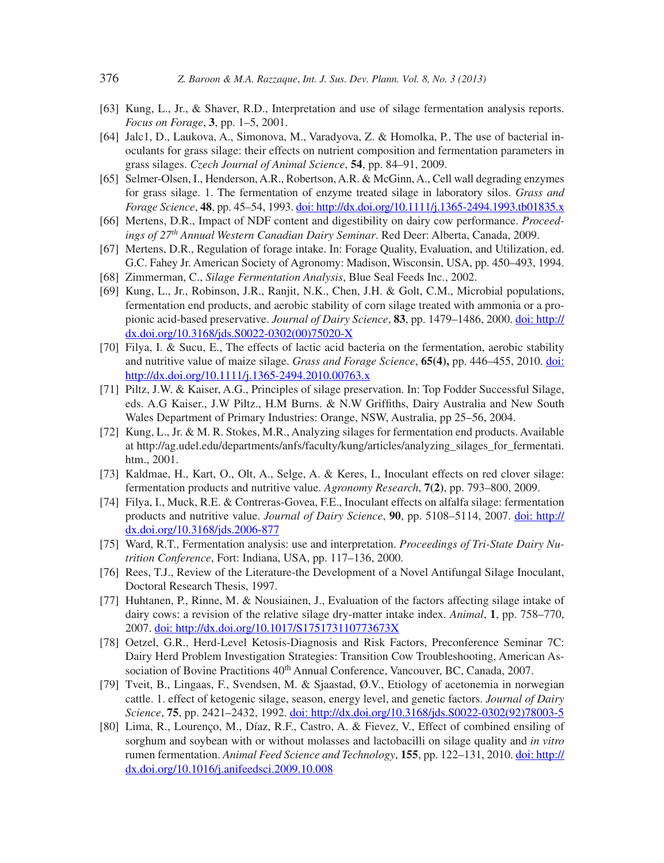- [63] Kung, L., Jr., & Shaver, R.D., Interpretation and use of silage fermentation analysis reports. *Focus on Forage*, **3**, pp. 1–5, 2001.
- [64] Jalc1, D., Laukova, A., Simonova, M., Varadyova, Z. & Homolka, P., The use of bacterial inoculants for grass silage: their effects on nutrient composition and fermentation parameters in grass silages. *Czech Journal of Animal Science*, **54**, pp. 84–91, 2009.
- [65] Selmer-Olsen, I., Henderson, A.R., Robertson, A.R. & McGinn, A., Cell wall degrading enzymes for grass silage. 1. The fermentation of enzyme treated silage in laboratory silos. *Grass and F orage Science*, **48**, pp. 45–54, 1993. doi: http://dx.doi.org/10.1111/j.1365-2494.1993.tb01835.x
- [66] Mertens, D.R., Impact of NDF content and digestibility on dairy cow performance. *Proceedings of 27th Annual Western Canadian Dairy Seminar*. Red Deer: Alberta, Canada, 2009.
- [67] Mertens, D.R., Regulation of forage intake. In: Forage Quality, Evaluation, and Utilization, ed. G.C. Fahey Jr. American Society of Agronomy: Madison, Wisconsin, USA, pp. 450–493, 1994.
- [68] Zimmerman, C., *Silage Fermentation Analysis*, Blue Seal Feeds Inc., 2002.
- [69] Kung, L., Jr., Robinson, J.R., Ranjit, N.K., Chen, J.H. & Golt, C.M., Microbial populations, fermentation end products, and aerobic stability of corn silage treated with ammonia or a propionic acid-based preservative. *Journal of Dairy Science*, **83**, pp. 1479–1486, 2000. doi: http:// dx.doi.org/10.3168/jds.S0022-0302(00)75020-X
- [70] Filya, I. & Sucu, E., The effects of lactic acid bacteria on the fermentation, aerobic stability and nutritive value of maize silage. *Grass and Forage Science*, **65(4),** pp. 446–455, 2010. doi: http://dx.doi.org/10.1111/j.1365-2494.2010.00763.x
- [71] Piltz, J.W. & Kaiser, A.G., Principles of silage preservation. In: Top Fodder Successful Silage, eds. A.G Kaiser., J.W Piltz., H.M Burns. & N.W Griffiths, Dairy Australia and New South Wales Department of Primary Industries: Orange, NSW, Australia, pp 25–56, 2004.
- [72] Kung, L., Jr. & M. R. Stokes, M.R., Analyzing silages for fermentation end products. Available at http://ag.udel.edu/departments/anfs/faculty/kung/articles/analyzing\_silages\_for\_fermentati. htm., 2001.
- [73] Kaldmae, H., Kart, O., Olt, A., Selge, A. & Keres, I., Inoculant effects on red clover silage: fermentation products and nutritive value. *Agronomy Research*, **7(2)**, pp. 793–800, 2009.
- [74] Filya, I., Muck, R.E. & Contreras-Govea, F.E., Inoculant effects on alfalfa silage: fermentation products and nutritive value. *Journal of Dairy Science*, **90**, pp. 5108–5114, 2007. doi: http:// dx.doi.org/10.3168/jds.2006-877
- [75] Ward, R.T., Fermentation analysis: use and interpretation. *Proceedings of Tri-State Dairy Nutrition Conference*, Fort: Indiana, USA, pp. 117–136, 2000.
- [76] Rees, T.J., Review of the Literature-the Development of a Novel Antifungal Silage Inoculant, Doctoral Research Thesis, 1997.
- [77] Huhtanen, P., Rinne, M. & Nousiainen, J., Evaluation of the factors affecting silage intake of dairy cows: a revision of the relative silage dry-matter intake index. *Animal*, **1**, pp. 758–770, 2007. doi: http://dx.doi.org/10.1017/S175173110773673X
- [78] Oetzel, G.R., Herd-Level Ketosis-Diagnosis and Risk Factors, Preconference Seminar 7C: Dairy Herd Problem Investigation Strategies: Transition Cow Troubleshooting, American Association of Bovine Practitions 40<sup>th</sup> Annual Conference, Vancouver, BC, Canada, 2007.
- [79] Tveit, B., Lingaas, F., Svendsen, M. & Sjaastad, Ø.V., Etiology of acetonemia in norwegian cattle. 1. effect of ketogenic silage, season, energy level, and genetic factors. *Journal of Dairy Science*, **75**, pp. 2421–2432, 1992. doi: http://dx.doi.org/10.3168/jds.S0022-0302(92)78003-5
- [80] Lima, R., Lourenço, M., Díaz, R.F., Castro, A. & Fievez, V., Effect of combined ensiling of sorghum and soybean with or without molasses and lactobacilli on silage quality and *in vitro* rumen fermentation. *Animal Feed Science and Technology*, **155**, pp. 122–131, 2010. doi: http:// dx.doi.org/10.1016/j.anifeedsci.2009.10.008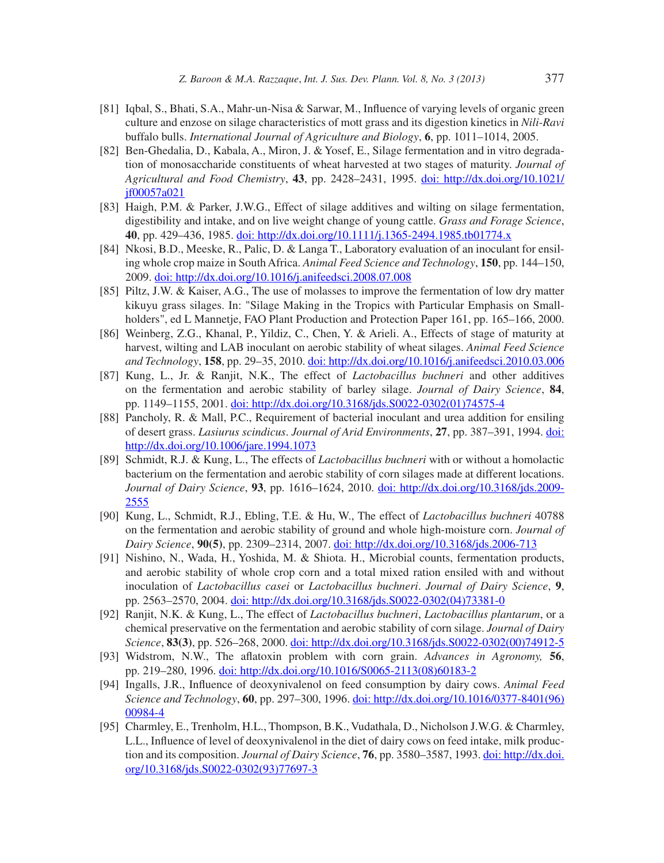- [81] Iqbal, S., Bhati, S.A., Mahr-un-Nisa & Sarwar, M., Influence of varying levels of organic green culture and enzose on silage characteristics of mott grass and its digestion kinetics in *Nili-Ravi* buffalo bulls. *International Journal of Agriculture and Biology*, **6**, pp. 1011–1014, 2005.
- [82] Ben-Ghedalia, D., Kabala, A., Miron, J. & Yosef, E., Silage fermentation and in vitro degradation of monosaccharide constituents of wheat harvested at two stages of maturity. *Journal of Agricultural and Food Chemistry*, **43**, pp. 2428–2431, 1995. doi: http://dx.doi.org/10.1021/ jf00057a021
- [83] Haigh, P.M. & Parker, J.W.G., Effect of silage additives and wilting on silage fermentation, digestibility and intake, and on live weight change of young cattle. *Grass and Forage Science*, **40**, pp. 429–436, 1985. doi: http://dx.doi.org/10.1111/j.1365-2494.1985.tb01774.x
- [84] Nkosi, B.D., Meeske, R., Palic, D. & Langa T., Laboratory evaluation of an inoculant for ensiling whole crop maize in South Africa. *Animal Feed Science and Technology*, **150**, pp. 144–150, 2009. doi: http://dx.doi.org/10.1016/j.anifeedsci.2008.07.008
- [85] Piltz, J.W. & Kaiser, A.G., The use of molasses to improve the fermentation of low dry matter kikuyu grass silages. In: "Silage Making in the Tropics with Particular Emphasis on Smallholders", ed L Mannetje, FAO Plant Production and Protection Paper 161, pp. 165–166, 2000.
- [86] Weinberg, Z.G., Khanal, P., Yildiz, C., Chen, Y. & Arieli. A., Effects of stage of maturity at harvest, wilting and LAB inoculant on aerobic stability of wheat silages. *Animal Feed Science and Technology*, **158**, pp. 29–35, 2010. doi: http://dx.doi.org/10.1016/j.anifeedsci.2010.03.006
- [87] Kung, L., Jr. & Ranjit, N.K., The effect of *Lactobacillus buchneri* and other additives on the fermentation and aerobic stability of barley silage. *Journal of Dairy Science*, **84**, pp. 1149–1155, 2001. doi: http://dx.doi.org/10.3168/jds.S0022-0302(01)74575-4
- [88] Pancholy, R. & Mall, P.C., Requirement of bacterial inoculant and urea addition for ensiling of desert grass. *Lasiurus scindicus*. *Journal of Arid Environments*, **27**, pp. 387–391, 1994. doi: http://dx.doi.org/10.1006/jare.1994.1073
- [89] Schmidt, R.J. & Kung, L., The effects of *Lactobacillus buchneri* with or without a homolactic bacterium on the fermentation and aerobic stability of corn silages made at different locations. *Journal of Dairy Science*, **93**, pp. 1616–1624, 2010. doi: http://dx.doi.org/10.3168/jds.2009- 2555
- [90] Kung, L., Schmidt, R.J., Ebling, T.E. & Hu, W., The effect of *Lactobacillus buchneri* 40788 on the fermentation and aerobic stability of ground and whole high-moisture corn. *Journal of Dairy Science*, **90(5)**, pp. 2309–2314, 2007. doi: http://dx.doi.org/10.3168/jds.2006-713
- [91] Nishino, N., Wada, H., Yoshida, M. & Shiota. H., Microbial counts, fermentation products, and aerobic stability of whole crop corn and a total mixed ration ensiled with and without inoculation of *Lactobacillus casei* or *Lactobacillus buchneri*. *Journal of Dairy Science*, **9**, pp. 2563–2570, 2004. doi: http://dx.doi.org/10.3168/jds.S0022-0302(04)73381-0
- [92] Ranjit, N.K. & Kung, L., The effect of *Lactobacillus buchneri*, *Lactobacillus plantarum*, or a chemical preservative on the fermentation and aerobic stability of corn silage. *Journal of Dairy Science*, **83(3)**, pp. 526–268, 2000. doi: http://dx.doi.org/10.3168/jds.S0022-0302(00)74912-5
- [93] Widstrom, N.W., The afl atoxin problem with corn grain. *Advances in Agronomy,* **56**, pp. 219–280, 1996. doi: http://dx.doi.org/10.1016/S0065-2113(08)60183-2
- [94] Ingalls, J.R., Influence of deoxynivalenol on feed consumption by dairy cows. *Animal Feed Science and Technology*, **60**, pp. 297–300, 1996. doi: http://dx.doi.org/10.1016/0377-8401(96) 00984-4
- [95] Charmley, E., Trenholm, H.L., Thompson, B.K., Vudathala, D., Nicholson J.W.G. & Charmley, L.L., Influence of level of deoxynivalenol in the diet of dairy cows on feed intake, milk production and its composition. *Journal of Dairy Science*, **76**, pp. 3580–3587, 1993. doi: http://dx.doi. org/10.3168/jds.S0022-0302(93)77697-3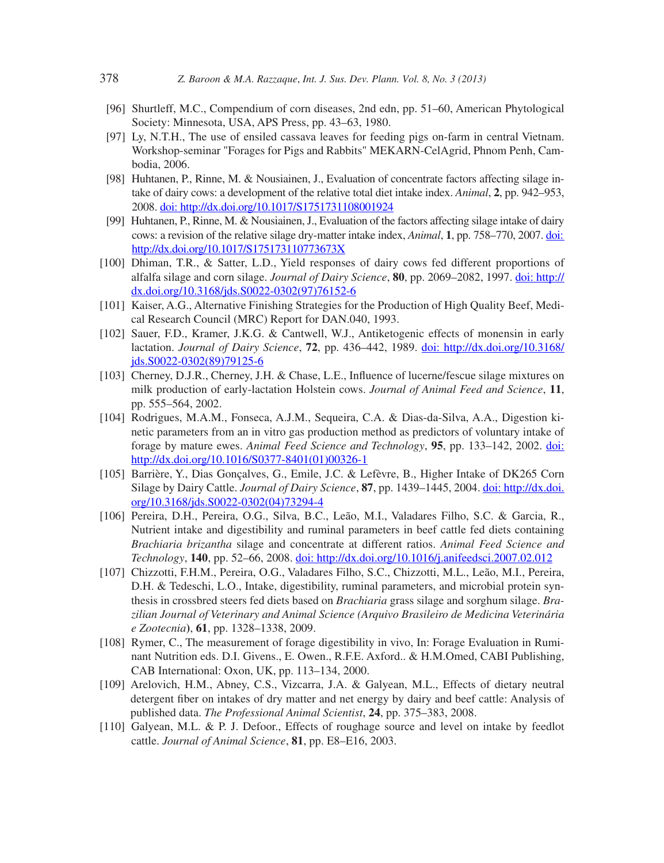- [96] Shurtleff, M.C., Compendium of corn diseases, 2nd edn, pp. 51–60, American Phytological Society: Minnesota, USA, APS Press, pp. 43–63, 1980.
- [97] Ly, N.T.H., The use of ensiled cassava leaves for feeding pigs on-farm in central Vietnam. Workshop-seminar "Forages for Pigs and Rabbits" MEKARN-CelAgrid, Phnom Penh, Cambodia, 2006.
- [98] Huhtanen, P., Rinne, M. & Nousiainen, J., Evaluation of concentrate factors affecting silage intake of dairy cows: a development of the relative total diet intake index. *Animal*, **2**, pp. 942–953, 2008. doi: http://dx.doi.org/10.1017/S1751731108001924
- [99] Huhtanen, P., Rinne, M. & Nousiainen, J., Evaluation of the factors affecting silage intake of dairy cows: a revision of the relative silage dry-matter intake index, *Animal*, **1**, pp. 758–770, 2007. doi: http://dx.doi.org/10.1017/S175173110773673X
- [100] Dhiman, T.R., & Satter, L.D., Yield responses of dairy cows fed different proportions of alfalfa silage and corn silage. *Journal of Dairy Science*, **80**, pp. 2069–2082, 1997. doi: http:// dx.doi.org/10.3168/jds.S0022-0302(97)76152-6
- [101] Kaiser, A.G., Alternative Finishing Strategies for the Production of High Quality Beef, Medical Research Council (MRC) Report for DAN.040, 1993.
- [102] Sauer, F.D., Kramer, J.K.G. & Cantwell, W.J., Antiketogenic effects of monensin in early lactation. *Journal of Dairy Science*, **72**, pp. 436–442, 1989. doi: http://dx.doi.org/10.3168/ jds.S0022-0302(89)79125-6
- [103] Cherney, D.J.R., Cherney, J.H. & Chase, L.E., Influence of lucerne/fescue silage mixtures on milk production of early-lactation Holstein cows. *Journal of Animal Feed and Science*, **11**, pp. 555–564, 2002.
- [104] Rodrigues, M.A.M., Fonseca, A.J.M., Sequeira, C.A. & Dias-da-Silva, A.A., Digestion kinetic parameters from an in vitro gas production method as predictors of voluntary intake of forage by mature ewes. *Animal Feed Science and Technology*, **95**, pp. 133–142, 2002. doi: http://dx.doi.org/10.1016/S0377-8401(01)00326-1
- [105] Barrière, Y., Dias Gonçalves, G., Emile, J.C. & Lefèvre, B., Higher Intake of DK265 Corn Silage by Dairy Cattle. *Journal of Dairy Science*, **87**, pp. 1439–1445, 2004. doi: http://dx.doi. org/10.3168/jds.S0022-0302(04)73294-4
- [106] Pereira, D.H., Pereira, O.G., Silva, B.C., Leão, M.I., Valadares Filho, S.C. & Garcia, R., Nutrient intake and digestibility and ruminal parameters in beef cattle fed diets containing *Brachiaria brizantha* silage and concentrate at different ratios. *Animal Feed Science and Technology*, **140**, pp. 52–66, 2008. doi: http://dx.doi.org/10.1016/j.anifeedsci.2007.02.012
- [107] Chizzotti, F.H.M., Pereira, O.G., Valadares Filho, S.C., Chizzotti, M.L., Leão, M.I., Pereira, D.H. & Tedeschi, L.O., Intake, digestibility, ruminal parameters, and microbial protein synthesis in crossbred steers fed diets based on *Brachiaria* grass silage and sorghum silage. *Brazilian Journal of Veterinary and Animal Science (Arquivo Brasileiro de Medicina Veterinária e Zootecnia***)**, **61**, pp. 1328–1338, 2009.
- [108] Rymer, C., The measurement of forage digestibility in vivo, In: Forage Evaluation in Ruminant Nutrition eds. D.I. Givens., E. Owen., R.F.E. Axford.. & H.M.Omed, CABI Publishing, CAB International: Oxon, UK, pp. 113–134, 2000.
- [109] Arelovich, H.M., Abney, C.S., Vizcarra, J.A. & Galyean, M.L., Effects of dietary neutral detergent fiber on intakes of dry matter and net energy by dairy and beef cattle: Analysis of published data. *The Professional Animal Scientist*, **24**, pp. 375–383, 2008.
- [110] Galyean, M.L. & P. J. Defoor., Effects of roughage source and level on intake by feedlot cattle. *Journal of Animal Science*, **81**, pp. E8–E16, 2003.